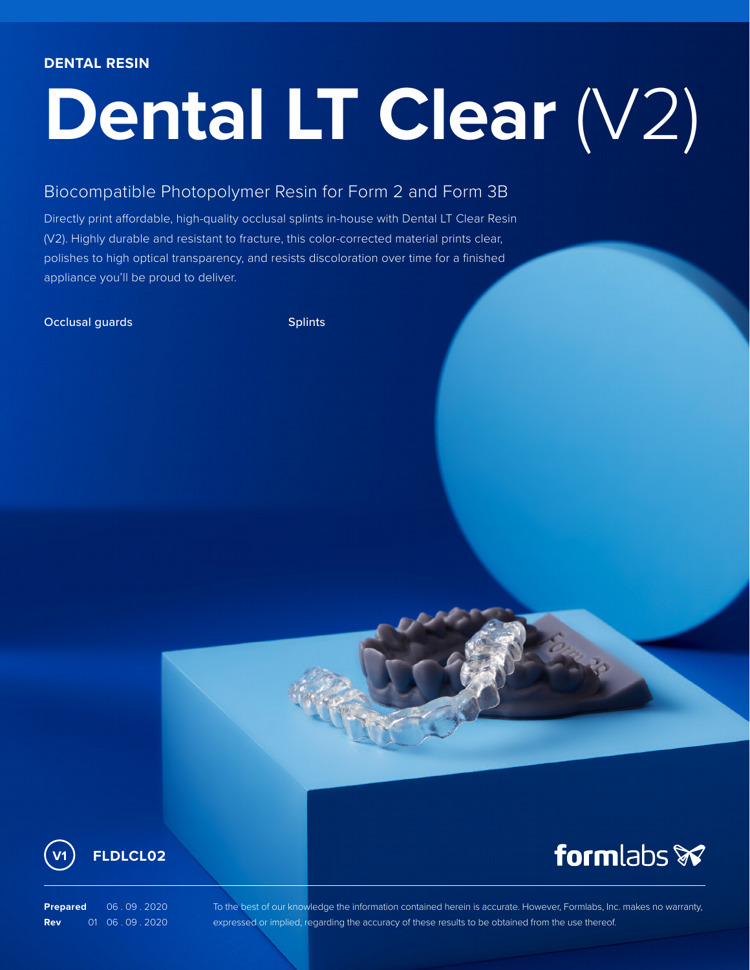# **Dental LT Clear** (V2)

### Biocompatible Photopolymer Resin for Form 2 and Form 3B

Directly print affordable, high-quality occlusal splints in-house with Dental LT Clear Resin (V2). Highly durable and resistant to fracture, this color-corrected material prints clear, polishes to high optical transparency, and resists discoloration over time for a finished appliance you'll be proud to deliver.

#### Occlusal guards Splints Splints



## formlabs **x**

**Prepared** 06 . 09 . 2020 **Rev** 01 06 . 09 . 2020

To the best of our knowledge the information contained herein is accurate. However, Formlabs, Inc. makes no warranty, expressed or implied, regarding the accuracy of these results to be obtained from the use thereof.